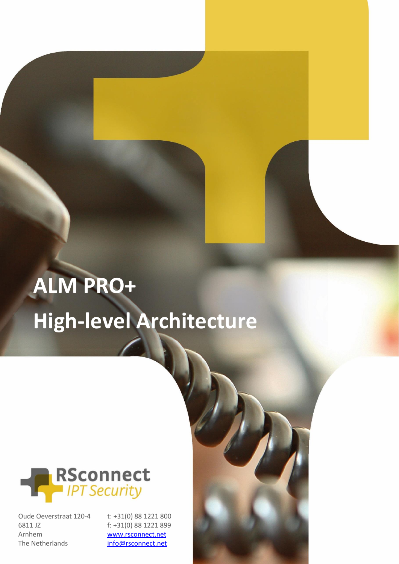# **ALM PRO+ High-level Architecture**



Oude Oeverstraat 120-4 6811 JZ Arnhem The Netherlands

t: +31(0) 88 1221 800 f: +31(0) 88 1221 899 [www.rsconnect.net](http://www.rsconnect.net/)

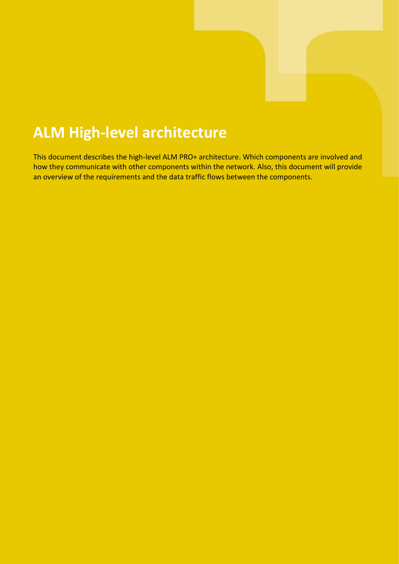### **ALM High-level architecture**

This document describes the high-level ALM PRO+ architecture. Which components are involved and how they communicate with other components within the network. Also, this document will provide an overview of the requirements and the data traffic flows between the components.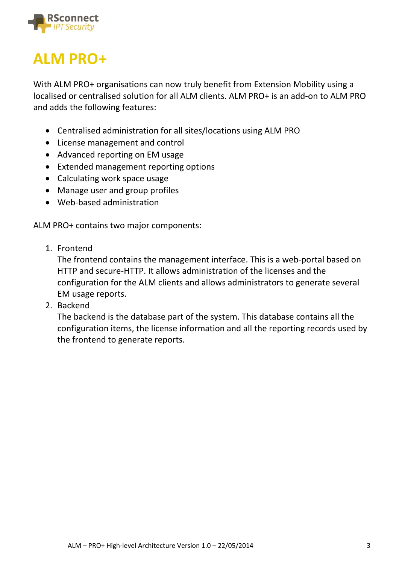

### **ALM PRO+**

With ALM PRO+ organisations can now truly benefit from Extension Mobility using a localised or centralised solution for all ALM clients. ALM PRO+ is an add-on to ALM PRO and adds the following features:

- Centralised administration for all sites/locations using ALM PRO
- License management and control
- Advanced reporting on EM usage
- Extended management reporting options
- Calculating work space usage
- Manage user and group profiles
- Web-based administration

ALM PRO+ contains two major components:

1. Frontend

The frontend contains the management interface. This is a web-portal based on HTTP and secure-HTTP. It allows administration of the licenses and the configuration for the ALM clients and allows administrators to generate several EM usage reports.

2. Backend

The backend is the database part of the system. This database contains all the configuration items, the license information and all the reporting records used by the frontend to generate reports.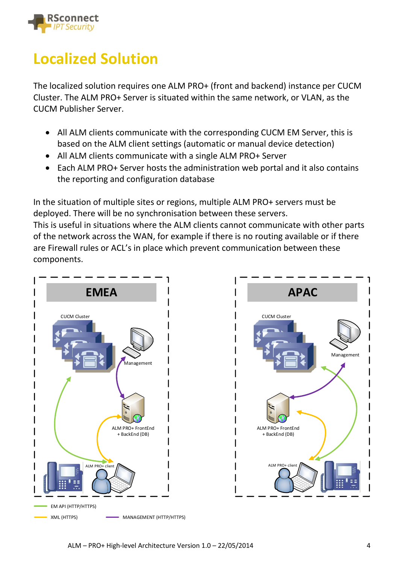

## **Localized Solution**

The localized solution requires one ALM PRO+ (front and backend) instance per CUCM Cluster. The ALM PRO+ Server is situated within the same network, or VLAN, as the CUCM Publisher Server.

- All ALM clients communicate with the corresponding CUCM EM Server, this is based on the ALM client settings (automatic or manual device detection)
- All ALM clients communicate with a single ALM PRO+ Server
- Each ALM PRO+ Server hosts the administration web portal and it also contains the reporting and configuration database

In the situation of multiple sites or regions, multiple ALM PRO+ servers must be deployed. There will be no synchronisation between these servers. This is useful in situations where the ALM clients cannot communicate with other parts of the network across the WAN, for example if there is no routing available or if there are Firewall rules or ACL's in place which prevent communication between these components.



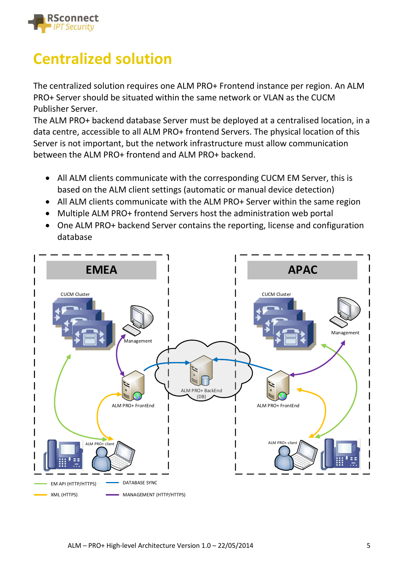

## **Centralized solution**

The centralized solution requires one ALM PRO+ Frontend instance per region. An ALM PRO+ Server should be situated within the same network or VLAN as the CUCM Publisher Server.

The ALM PRO+ backend database Server must be deployed at a centralised location, in a data centre, accessible to all ALM PRO+ frontend Servers. The physical location of this Server is not important, but the network infrastructure must allow communication between the ALM PRO+ frontend and ALM PRO+ backend.

- All ALM clients communicate with the corresponding CUCM EM Server, this is based on the ALM client settings (automatic or manual device detection)
- All ALM clients communicate with the ALM PRO+ Server within the same region
- Multiple ALM PRO+ frontend Servers host the administration web portal
- One ALM PRO+ backend Server contains the reporting, license and configuration database